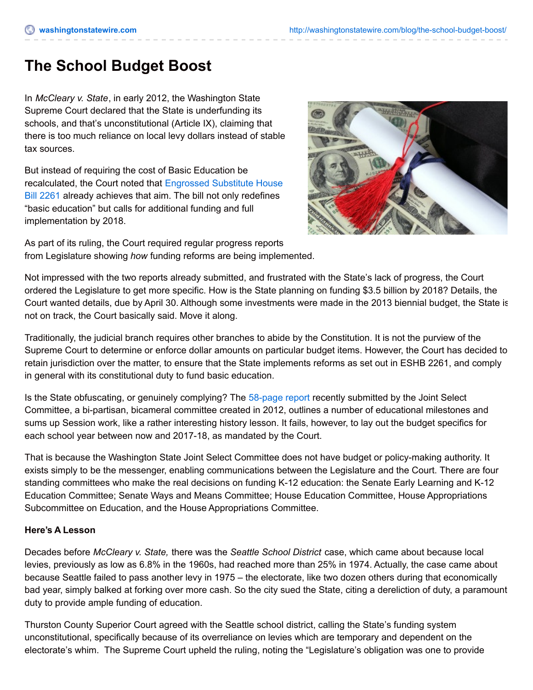# **The School Budget Boost**

In *McCleary v. State*, in early 2012, the Washington State Supreme Court declared that the State is underfunding its schools, and that's unconstitutional (Article IX), claiming that there is too much reliance on local levy dollars instead of stable tax sources.

But instead of requiring the cost of Basic Education be [recalculated,](http://apps.leg.wa.gov/billinfo/summary.aspx?year=2009&bill=2261) the Court noted that Engrossed Substitute House Bill 2261 already achieves that aim. The bill not only redefines "basic education" but calls for additional funding and full implementation by 2018.



As part of its ruling, the Court required regular progress reports from Legislature showing *how* funding reforms are being implemented.

Not impressed with the two reports already submitted, and frustrated with the State's lack of progress, the Court ordered the Legislature to get more specific. How is the State planning on funding \$3.5 billion by 2018? Details, the Court wanted details, due by April 30. Although some investments were made in the 2013 biennial budget, the State is not on track, the Court basically said. Move it along.

Traditionally, the judicial branch requires other branches to abide by the Constitution. It is not the purview of the Supreme Court to determine or enforce dollar amounts on particular budget items. However, the Court has decided to retain jurisdiction over the matter, to ensure that the State implements reforms as set out in ESHB 2261, and comply in general with its constitutional duty to fund basic education.

Is the State obfuscating, or genuinely complying? The [58-page](http://www.courts.wa.gov/content/publicUpload/Supreme Court News/84362-7 - Third report adopted by Comm on 4-29-2014.pdf) report recently submitted by the Joint Select Committee, a bi-partisan, bicameral committee created in 2012, outlines a number of educational milestones and sums up Session work, like a rather interesting history lesson. It fails, however, to lay out the budget specifics for each school year between now and 2017-18, as mandated by the Court.

That is because the Washington State Joint Select Committee does not have budget or policy-making authority. It exists simply to be the messenger, enabling communications between the Legislature and the Court. There are four standing committees who make the real decisions on funding K-12 education: the Senate Early Learning and K-12 Education Committee; Senate Ways and Means Committee; House Education Committee, House Appropriations Subcommittee on Education, and the House Appropriations Committee.

#### **Here's A Lesson**

Decades before *McCleary v. State,* there was the *Seattle School District* case, which came about because local levies, previously as low as 6.8% in the 1960s, had reached more than 25% in 1974. Actually, the case came about because Seattle failed to pass another levy in 1975 – the electorate, like two dozen others during that economically bad year, simply balked at forking over more cash. So the city sued the State, citing a dereliction of duty, a paramount duty to provide ample funding of education.

Thurston County Superior Court agreed with the Seattle school district, calling the State's funding system unconstitutional, specifically because of its overreliance on levies which are temporary and dependent on the electorate's whim. The Supreme Court upheld the ruling, noting the "Legislature's obligation was one to provide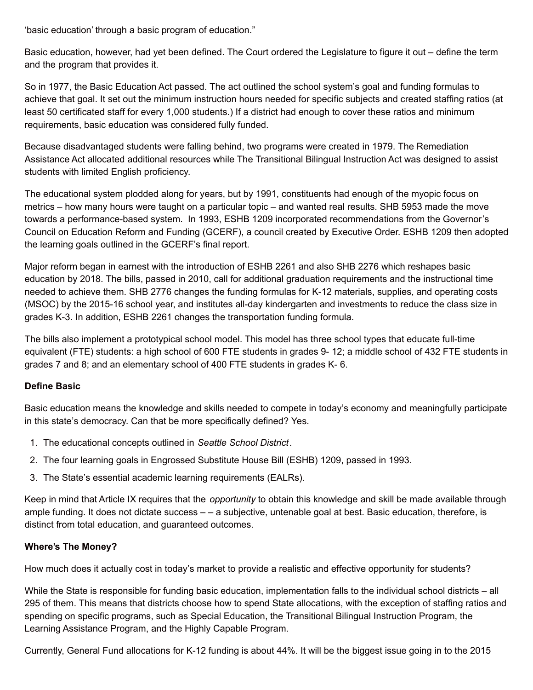'basic education' through a basic program of education."

Basic education, however, had yet been defined. The Court ordered the Legislature to figure it out – define the term and the program that provides it.

So in 1977, the Basic Education Act passed. The act outlined the school system's goal and funding formulas to achieve that goal. It set out the minimum instruction hours needed for specific subjects and created staffing ratios (at least 50 certificated staff for every 1,000 students.) If a district had enough to cover these ratios and minimum requirements, basic education was considered fully funded.

Because disadvantaged students were falling behind, two programs were created in 1979. The Remediation Assistance Act allocated additional resources while The Transitional Bilingual Instruction Act was designed to assist students with limited English proficiency.

The educational system plodded along for years, but by 1991, constituents had enough of the myopic focus on metrics – how many hours were taught on a particular topic – and wanted real results. SHB 5953 made the move towards a performance-based system. In 1993, ESHB 1209 incorporated recommendations from the Governor's Council on Education Reform and Funding (GCERF), a council created by Executive Order. ESHB 1209 then adopted the learning goals outlined in the GCERF's final report.

Major reform began in earnest with the introduction of ESHB 2261 and also SHB 2276 which reshapes basic education by 2018. The bills, passed in 2010, call for additional graduation requirements and the instructional time needed to achieve them. SHB 2776 changes the funding formulas for K-12 materials, supplies, and operating costs (MSOC) by the 2015-16 school year, and institutes all-day kindergarten and investments to reduce the class size in grades K-3. In addition, ESHB 2261 changes the transportation funding formula.

The bills also implement a prototypical school model. This model has three school types that educate full-time equivalent (FTE) students: a high school of 600 FTE students in grades 9- 12; a middle school of 432 FTE students in grades 7 and 8; and an elementary school of 400 FTE students in grades K- 6.

## **Define Basic**

Basic education means the knowledge and skills needed to compete in today's economy and meaningfully participate in this state's democracy. Can that be more specifically defined? Yes.

- 1. The educational concepts outlined in *Seattle School District*.
- 2. The four learning goals in Engrossed Substitute House Bill (ESHB) 1209, passed in 1993.
- 3. The State's essential academic learning requirements (EALRs).

Keep in mind that Article IX requires that the *opportunity* to obtain this knowledge and skill be made available through ample funding. It does not dictate success – – a subjective, untenable goal at best. Basic education, therefore, is distinct from total education, and guaranteed outcomes.

#### **Where's The Money?**

How much does it actually cost in today's market to provide a realistic and effective opportunity for students?

While the State is responsible for funding basic education, implementation falls to the individual school districts – all 295 of them. This means that districts choose how to spend State allocations, with the exception of staffing ratios and spending on specific programs, such as Special Education, the Transitional Bilingual Instruction Program, the Learning Assistance Program, and the Highly Capable Program.

Currently, General Fund allocations for K-12 funding is about 44%. It will be the biggest issue going in to the 2015